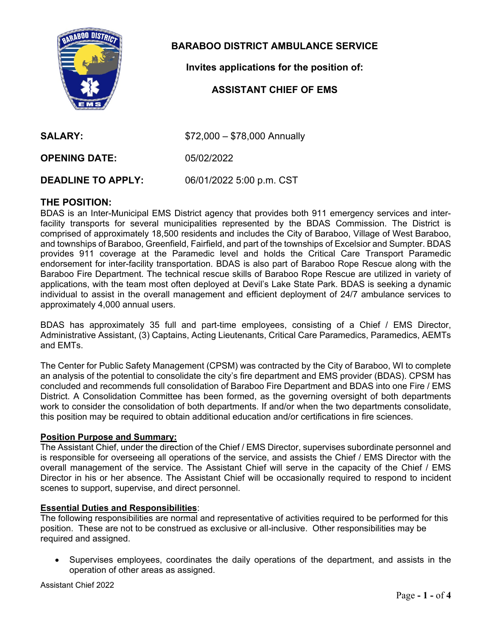

# **BARABOO DISTRICT AMBULANCE SERVICE**

**Invites applications for the position of:** 

# **ASSISTANT CHIEF OF EMS**

**SALARY:**  $$72,000 - $78,000$  Annually

**OPENING DATE:** 05/02/2022

**DEADLINE TO APPLY:** 06/01/2022 5:00 p.m. CST

# **THE POSITION:**

BDAS is an Inter-Municipal EMS District agency that provides both 911 emergency services and interfacility transports for several municipalities represented by the BDAS Commission. The District is comprised of approximately 18,500 residents and includes the City of Baraboo, Village of West Baraboo, and townships of Baraboo, Greenfield, Fairfield, and part of the townships of Excelsior and Sumpter. BDAS provides 911 coverage at the Paramedic level and holds the Critical Care Transport Paramedic endorsement for inter-facility transportation. BDAS is also part of Baraboo Rope Rescue along with the Baraboo Fire Department. The technical rescue skills of Baraboo Rope Rescue are utilized in variety of applications, with the team most often deployed at Devil's Lake State Park. BDAS is seeking a dynamic individual to assist in the overall management and efficient deployment of 24/7 ambulance services to approximately 4,000 annual users.

BDAS has approximately 35 full and part-time employees, consisting of a Chief / EMS Director, Administrative Assistant, (3) Captains, Acting Lieutenants, Critical Care Paramedics, Paramedics, AEMTs and EMTs.

The Center for Public Safety Management (CPSM) was contracted by the City of Baraboo, WI to complete an analysis of the potential to consolidate the city's fire department and EMS provider (BDAS). CPSM has concluded and recommends full consolidation of Baraboo Fire Department and BDAS into one Fire / EMS District. A Consolidation Committee has been formed, as the governing oversight of both departments work to consider the consolidation of both departments. If and/or when the two departments consolidate, this position may be required to obtain additional education and/or certifications in fire sciences.

# **Position Purpose and Summary:**

The Assistant Chief, under the direction of the Chief / EMS Director, supervises subordinate personnel and is responsible for overseeing all operations of the service, and assists the Chief / EMS Director with the overall management of the service. The Assistant Chief will serve in the capacity of the Chief / EMS Director in his or her absence. The Assistant Chief will be occasionally required to respond to incident scenes to support, supervise, and direct personnel.

#### **Essential Duties and Responsibilities**:

The following responsibilities are normal and representative of activities required to be performed for this position. These are not to be construed as exclusive or all-inclusive. Other responsibilities may be required and assigned.

 Supervises employees, coordinates the daily operations of the department, and assists in the operation of other areas as assigned.

Assistant Chief 2022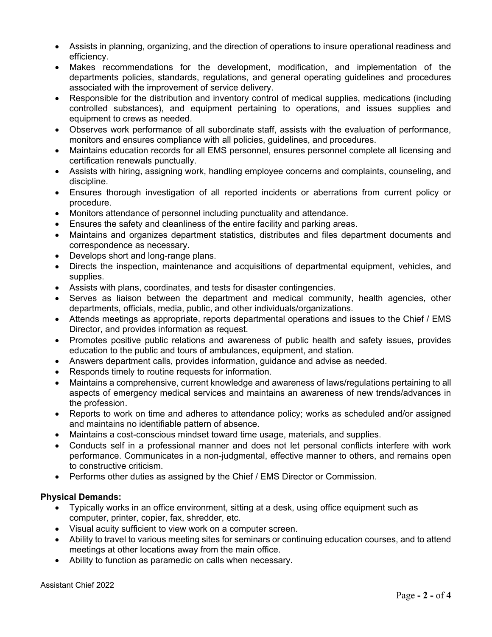- Assists in planning, organizing, and the direction of operations to insure operational readiness and efficiency.
- Makes recommendations for the development, modification, and implementation of the departments policies, standards, regulations, and general operating guidelines and procedures associated with the improvement of service delivery.
- Responsible for the distribution and inventory control of medical supplies, medications (including controlled substances), and equipment pertaining to operations, and issues supplies and equipment to crews as needed.
- Observes work performance of all subordinate staff, assists with the evaluation of performance, monitors and ensures compliance with all policies, guidelines, and procedures.
- Maintains education records for all EMS personnel, ensures personnel complete all licensing and certification renewals punctually.
- Assists with hiring, assigning work, handling employee concerns and complaints, counseling, and discipline.
- Ensures thorough investigation of all reported incidents or aberrations from current policy or procedure.
- Monitors attendance of personnel including punctuality and attendance.
- Ensures the safety and cleanliness of the entire facility and parking areas.
- Maintains and organizes department statistics, distributes and files department documents and correspondence as necessary.
- Develops short and long-range plans.
- Directs the inspection, maintenance and acquisitions of departmental equipment, vehicles, and supplies.
- Assists with plans, coordinates, and tests for disaster contingencies.
- Serves as liaison between the department and medical community, health agencies, other departments, officials, media, public, and other individuals/organizations.
- Attends meetings as appropriate, reports departmental operations and issues to the Chief / EMS Director, and provides information as request.
- Promotes positive public relations and awareness of public health and safety issues, provides education to the public and tours of ambulances, equipment, and station.
- Answers department calls, provides information, guidance and advise as needed.
- Responds timely to routine requests for information.
- Maintains a comprehensive, current knowledge and awareness of laws/regulations pertaining to all aspects of emergency medical services and maintains an awareness of new trends/advances in the profession.
- Reports to work on time and adheres to attendance policy; works as scheduled and/or assigned and maintains no identifiable pattern of absence.
- Maintains a cost-conscious mindset toward time usage, materials, and supplies.
- Conducts self in a professional manner and does not let personal conflicts interfere with work performance. Communicates in a non-judgmental, effective manner to others, and remains open to constructive criticism.
- Performs other duties as assigned by the Chief / EMS Director or Commission.

# **Physical Demands:**

- Typically works in an office environment, sitting at a desk, using office equipment such as computer, printer, copier, fax, shredder, etc.
- Visual acuity sufficient to view work on a computer screen.
- Ability to travel to various meeting sites for seminars or continuing education courses, and to attend meetings at other locations away from the main office.
- Ability to function as paramedic on calls when necessary.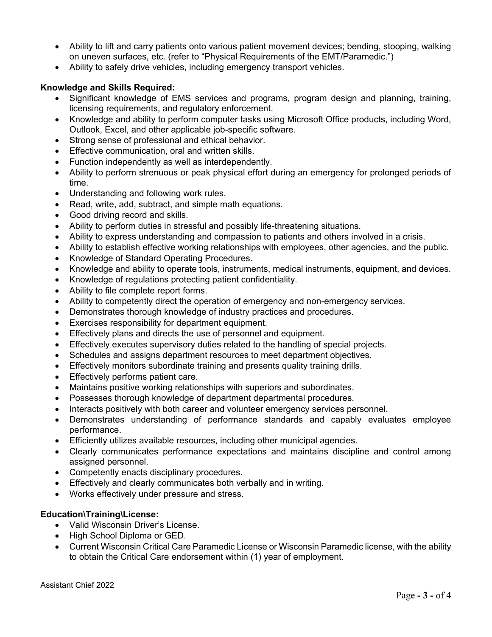- Ability to lift and carry patients onto various patient movement devices; bending, stooping, walking on uneven surfaces, etc. (refer to "Physical Requirements of the EMT/Paramedic.")
- Ability to safely drive vehicles, including emergency transport vehicles.

# **Knowledge and Skills Required:**

- Significant knowledge of EMS services and programs, program design and planning, training, licensing requirements, and regulatory enforcement.
- Knowledge and ability to perform computer tasks using Microsoft Office products, including Word, Outlook, Excel, and other applicable job-specific software.
- Strong sense of professional and ethical behavior.
- Effective communication, oral and written skills.
- Function independently as well as interdependently.
- Ability to perform strenuous or peak physical effort during an emergency for prolonged periods of time.
- Understanding and following work rules.
- Read, write, add, subtract, and simple math equations.
- Good driving record and skills.
- Ability to perform duties in stressful and possibly life-threatening situations.
- Ability to express understanding and compassion to patients and others involved in a crisis.
- Ability to establish effective working relationships with employees, other agencies, and the public.
- Knowledge of Standard Operating Procedures.
- Knowledge and ability to operate tools, instruments, medical instruments, equipment, and devices.
- Knowledge of regulations protecting patient confidentiality.
- Ability to file complete report forms.
- Ability to competently direct the operation of emergency and non-emergency services.
- Demonstrates thorough knowledge of industry practices and procedures.
- Exercises responsibility for department equipment.
- Effectively plans and directs the use of personnel and equipment.
- Effectively executes supervisory duties related to the handling of special projects.
- Schedules and assigns department resources to meet department objectives.
- Effectively monitors subordinate training and presents quality training drills.
- Effectively performs patient care.
- Maintains positive working relationships with superiors and subordinates.
- Possesses thorough knowledge of department departmental procedures.
- Interacts positively with both career and volunteer emergency services personnel.
- Demonstrates understanding of performance standards and capably evaluates employee performance.
- Efficiently utilizes available resources, including other municipal agencies.
- Clearly communicates performance expectations and maintains discipline and control among assigned personnel.
- Competently enacts disciplinary procedures.
- Effectively and clearly communicates both verbally and in writing.
- Works effectively under pressure and stress.

# **Education\Training\License:**

- Valid Wisconsin Driver's License.
- High School Diploma or GED.
- Current Wisconsin Critical Care Paramedic License or Wisconsin Paramedic license, with the ability to obtain the Critical Care endorsement within (1) year of employment.